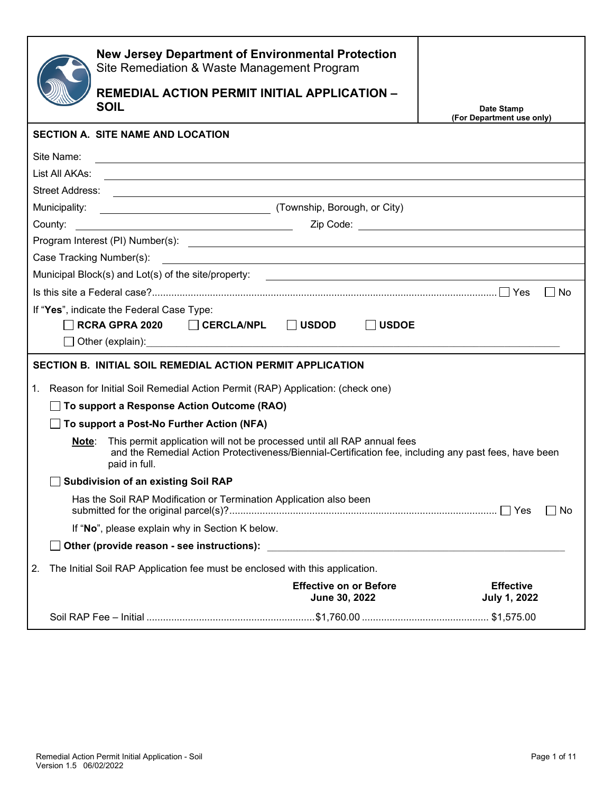|                | <b>New Jersey Department of Environmental Protection</b><br>Site Remediation & Waste Management Program<br><b>REMEDIAL ACTION PERMIT INITIAL APPLICATION -</b><br><b>SOIL</b>                     |                                                                                                                     | Date Stamp<br>(For Department use only) |
|----------------|---------------------------------------------------------------------------------------------------------------------------------------------------------------------------------------------------|---------------------------------------------------------------------------------------------------------------------|-----------------------------------------|
|                | <b>SECTION A. SITE NAME AND LOCATION</b>                                                                                                                                                          |                                                                                                                     |                                         |
| Site Name:     | <u> 1989 - Johann Stoff, amerikansk politiker (d. 1989)</u>                                                                                                                                       |                                                                                                                     |                                         |
| List All AKAs: |                                                                                                                                                                                                   |                                                                                                                     |                                         |
|                |                                                                                                                                                                                                   |                                                                                                                     |                                         |
|                |                                                                                                                                                                                                   |                                                                                                                     |                                         |
|                |                                                                                                                                                                                                   |                                                                                                                     |                                         |
|                |                                                                                                                                                                                                   |                                                                                                                     |                                         |
|                | Case Tracking Number(s):                                                                                                                                                                          |                                                                                                                     |                                         |
|                | Municipal Block(s) and Lot(s) of the site/property:                                                                                                                                               | <u> 1989 - Jan Samuel Barbara, margaret e populari e populari e populari e populari e populari e populari e pop</u> |                                         |
|                |                                                                                                                                                                                                   |                                                                                                                     | – I No                                  |
|                | If "Yes", indicate the Federal Case Type:                                                                                                                                                         |                                                                                                                     |                                         |
|                | RCRA GPRA 2020 $\Box$ CERCLA/NPL $\Box$ USDOD                                                                                                                                                     | $\Box$ USDOE                                                                                                        |                                         |
|                |                                                                                                                                                                                                   |                                                                                                                     |                                         |
|                | SECTION B. INITIAL SOIL REMEDIAL ACTION PERMIT APPLICATION                                                                                                                                        |                                                                                                                     |                                         |
| 1.             | Reason for Initial Soil Remedial Action Permit (RAP) Application: (check one)                                                                                                                     |                                                                                                                     |                                         |
|                | □ To support a Response Action Outcome (RAO)                                                                                                                                                      |                                                                                                                     |                                         |
|                | $\Box$ To support a Post-No Further Action (NFA)                                                                                                                                                  |                                                                                                                     |                                         |
| Note:          | This permit application will not be processed until all RAP annual fees<br>and the Remedial Action Protectiveness/Biennial-Certification fee, including any past fees, have been<br>paid in full. |                                                                                                                     |                                         |
|                | <b>Subdivision of an existing Soil RAP</b>                                                                                                                                                        |                                                                                                                     |                                         |
|                | Has the Soil RAP Modification or Termination Application also been                                                                                                                                |                                                                                                                     | No<br>$\blacksquare$                    |
|                | If "No", please explain why in Section K below.                                                                                                                                                   |                                                                                                                     |                                         |
|                |                                                                                                                                                                                                   |                                                                                                                     |                                         |
| 2.             | The Initial Soil RAP Application fee must be enclosed with this application.                                                                                                                      |                                                                                                                     |                                         |
|                |                                                                                                                                                                                                   | <b>Effective on or Before</b><br>June 30, 2022                                                                      | <b>Effective</b><br><b>July 1, 2022</b> |
|                | \$1,575.00 \$1,575.00 \$1,575.00 \$1,760.00 \$1,760.00 \$1,760.00 \$1,760.00 \$1,575.00                                                                                                           |                                                                                                                     |                                         |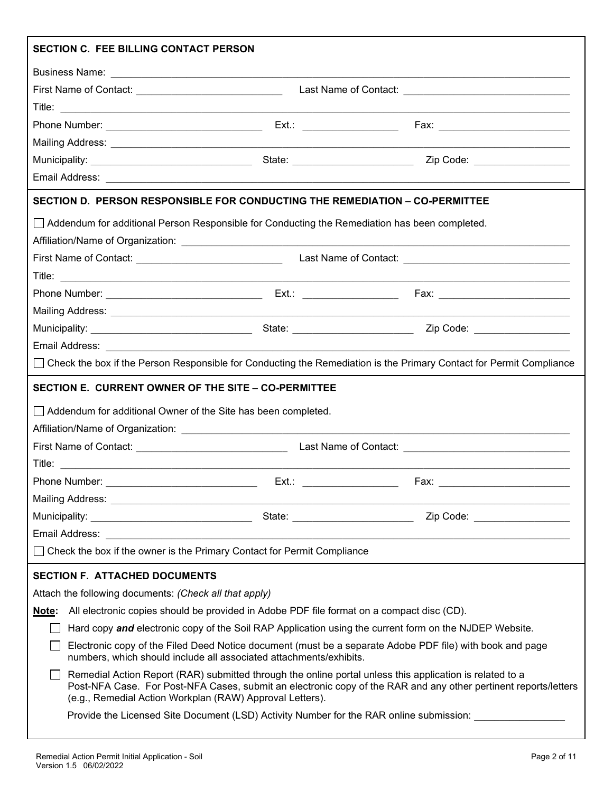| <b>SECTION C. FEE BILLING CONTACT PERSON</b>                                                                                                                                                                                                                                            |          |                              |  |  |  |
|-----------------------------------------------------------------------------------------------------------------------------------------------------------------------------------------------------------------------------------------------------------------------------------------|----------|------------------------------|--|--|--|
|                                                                                                                                                                                                                                                                                         |          |                              |  |  |  |
| First Name of Contact: _________________________________                                                                                                                                                                                                                                |          |                              |  |  |  |
|                                                                                                                                                                                                                                                                                         |          |                              |  |  |  |
|                                                                                                                                                                                                                                                                                         |          |                              |  |  |  |
|                                                                                                                                                                                                                                                                                         |          |                              |  |  |  |
|                                                                                                                                                                                                                                                                                         |          | Zip Code: __________________ |  |  |  |
|                                                                                                                                                                                                                                                                                         |          |                              |  |  |  |
| SECTION D. PERSON RESPONSIBLE FOR CONDUCTING THE REMEDIATION – CO-PERMITTEE                                                                                                                                                                                                             |          |                              |  |  |  |
| □ Addendum for additional Person Responsible for Conducting the Remediation has been completed.                                                                                                                                                                                         |          |                              |  |  |  |
|                                                                                                                                                                                                                                                                                         |          |                              |  |  |  |
|                                                                                                                                                                                                                                                                                         |          |                              |  |  |  |
|                                                                                                                                                                                                                                                                                         |          |                              |  |  |  |
|                                                                                                                                                                                                                                                                                         |          |                              |  |  |  |
|                                                                                                                                                                                                                                                                                         |          |                              |  |  |  |
|                                                                                                                                                                                                                                                                                         |          |                              |  |  |  |
| Email Address: 2008. 2009. 2009. 2009. 2010. 2010. 2010. 2010. 2010. 2010. 2010. 2010. 2010. 2010. 2010. 2010                                                                                                                                                                           |          |                              |  |  |  |
| □ Check the box if the Person Responsible for Conducting the Remediation is the Primary Contact for Permit Compliance                                                                                                                                                                   |          |                              |  |  |  |
| SECTION E. CURRENT OWNER OF THE SITE - CO-PERMITTEE                                                                                                                                                                                                                                     |          |                              |  |  |  |
| Addendum for additional Owner of the Site has been completed.                                                                                                                                                                                                                           |          |                              |  |  |  |
|                                                                                                                                                                                                                                                                                         |          |                              |  |  |  |
|                                                                                                                                                                                                                                                                                         |          |                              |  |  |  |
|                                                                                                                                                                                                                                                                                         |          |                              |  |  |  |
|                                                                                                                                                                                                                                                                                         | $Ext.$ : | Fax:                         |  |  |  |
|                                                                                                                                                                                                                                                                                         |          |                              |  |  |  |
|                                                                                                                                                                                                                                                                                         |          |                              |  |  |  |
|                                                                                                                                                                                                                                                                                         |          |                              |  |  |  |
| Check the box if the owner is the Primary Contact for Permit Compliance                                                                                                                                                                                                                 |          |                              |  |  |  |
| <b>SECTION F. ATTACHED DOCUMENTS</b>                                                                                                                                                                                                                                                    |          |                              |  |  |  |
| Attach the following documents: (Check all that apply)                                                                                                                                                                                                                                  |          |                              |  |  |  |
| Note: All electronic copies should be provided in Adobe PDF file format on a compact disc (CD).                                                                                                                                                                                         |          |                              |  |  |  |
| Hard copy and electronic copy of the Soil RAP Application using the current form on the NJDEP Website.<br>$\mathsf{L}$                                                                                                                                                                  |          |                              |  |  |  |
| Electronic copy of the Filed Deed Notice document (must be a separate Adobe PDF file) with book and page<br>numbers, which should include all associated attachments/exhibits.                                                                                                          |          |                              |  |  |  |
| Remedial Action Report (RAR) submitted through the online portal unless this application is related to a<br>Post-NFA Case. For Post-NFA Cases, submit an electronic copy of the RAR and any other pertinent reports/letters<br>(e.g., Remedial Action Workplan (RAW) Approval Letters). |          |                              |  |  |  |
| Provide the Licensed Site Document (LSD) Activity Number for the RAR online submission:                                                                                                                                                                                                 |          |                              |  |  |  |
|                                                                                                                                                                                                                                                                                         |          |                              |  |  |  |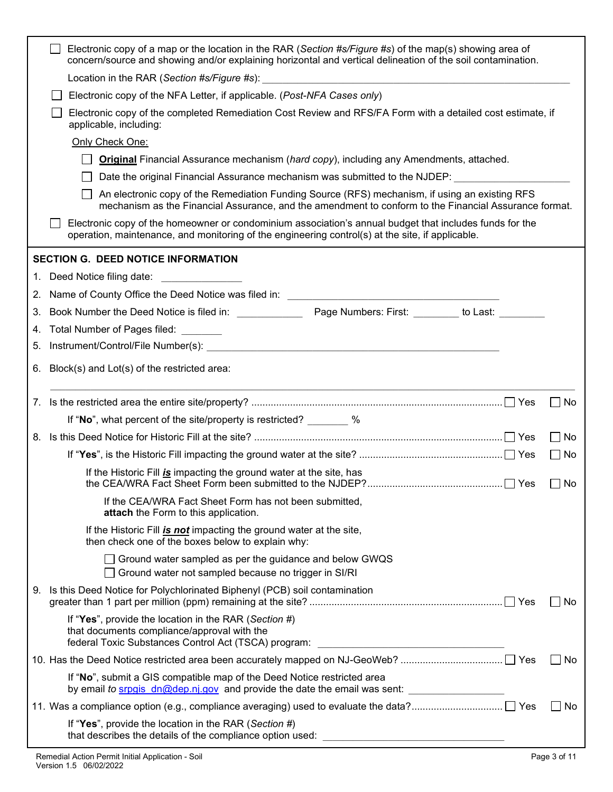| mechanism as the Financial Assurance, and the amendment to conform to the Financial Assurance format. |
|-------------------------------------------------------------------------------------------------------|
|                                                                                                       |
|                                                                                                       |
|                                                                                                       |
|                                                                                                       |
|                                                                                                       |
|                                                                                                       |
|                                                                                                       |
|                                                                                                       |
|                                                                                                       |
| $\Box$ No                                                                                             |
|                                                                                                       |
| $\vert$ $\vert$ No                                                                                    |
| No                                                                                                    |
| $\Box$ Yes $\Box$ No                                                                                  |
|                                                                                                       |
|                                                                                                       |
|                                                                                                       |
| No                                                                                                    |
|                                                                                                       |
| No                                                                                                    |
|                                                                                                       |
| No                                                                                                    |
|                                                                                                       |
|                                                                                                       |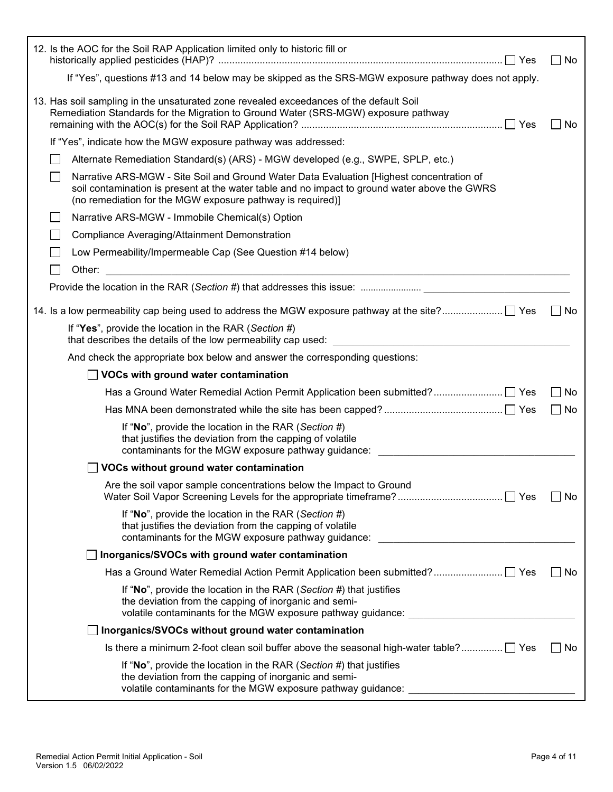|        | 12. Is the AOC for the Soil RAP Application limited only to historic fill or                                                                                                                                                                            | No<br>$\blacksquare$           |
|--------|---------------------------------------------------------------------------------------------------------------------------------------------------------------------------------------------------------------------------------------------------------|--------------------------------|
|        | If "Yes", questions #13 and 14 below may be skipped as the SRS-MGW exposure pathway does not apply.                                                                                                                                                     |                                |
|        | 13. Has soil sampling in the unsaturated zone revealed exceedances of the default Soil<br>Remediation Standards for the Migration to Ground Water (SRS-MGW) exposure pathway                                                                            | No                             |
|        | If "Yes", indicate how the MGW exposure pathway was addressed:                                                                                                                                                                                          |                                |
|        | Alternate Remediation Standard(s) (ARS) - MGW developed (e.g., SWPE, SPLP, etc.)                                                                                                                                                                        |                                |
|        | Narrative ARS-MGW - Site Soil and Ground Water Data Evaluation [Highest concentration of<br>soil contamination is present at the water table and no impact to ground water above the GWRS<br>(no remediation for the MGW exposure pathway is required)] |                                |
|        | Narrative ARS-MGW - Immobile Chemical(s) Option                                                                                                                                                                                                         |                                |
|        | <b>Compliance Averaging/Attainment Demonstration</b>                                                                                                                                                                                                    |                                |
|        | Low Permeability/Impermeable Cap (See Question #14 below)                                                                                                                                                                                               |                                |
| Other: | <u> 1989 - Johann Stoff, amerikansk politiker (d. 1989)</u>                                                                                                                                                                                             |                                |
|        | Provide the location in the RAR (Section #) that addresses this issue:                                                                                                                                                                                  |                                |
|        |                                                                                                                                                                                                                                                         | $\Box$ No                      |
|        | If "Yes", provide the location in the RAR (Section #)                                                                                                                                                                                                   |                                |
|        | And check the appropriate box below and answer the corresponding questions:                                                                                                                                                                             |                                |
|        | $\Box$ VOCs with ground water contamination                                                                                                                                                                                                             |                                |
|        |                                                                                                                                                                                                                                                         | No<br>$\overline{\phantom{a}}$ |
|        |                                                                                                                                                                                                                                                         | $\perp$<br>No                  |
|        | If "No", provide the location in the RAR (Section #)<br>that justifies the deviation from the capping of volatile<br>contaminants for the MGW exposure pathway guidance:                                                                                |                                |
|        | VOCs without ground water contamination                                                                                                                                                                                                                 |                                |
|        | Are the soil vapor sample concentrations below the Impact to Ground                                                                                                                                                                                     | No                             |
|        | If "No", provide the location in the RAR (Section #)<br>that justifies the deviation from the capping of volatile<br>contaminants for the MGW exposure pathway guidance:                                                                                |                                |
|        | Inorganics/SVOCs with ground water contamination                                                                                                                                                                                                        |                                |
|        |                                                                                                                                                                                                                                                         | No                             |
|        | If "No", provide the location in the RAR (Section #) that justifies<br>the deviation from the capping of inorganic and semi-<br>volatile contaminants for the MGW exposure pathway guidance:                                                            |                                |
|        | Inorganics/SVOCs without ground water contamination                                                                                                                                                                                                     |                                |
|        | Is there a minimum 2-foot clean soil buffer above the seasonal high-water table? □ Yes                                                                                                                                                                  | No<br>$\mathbf{I}$             |
|        | If "No", provide the location in the RAR (Section #) that justifies<br>the deviation from the capping of inorganic and semi-<br>volatile contaminants for the MGW exposure pathway guidance:                                                            |                                |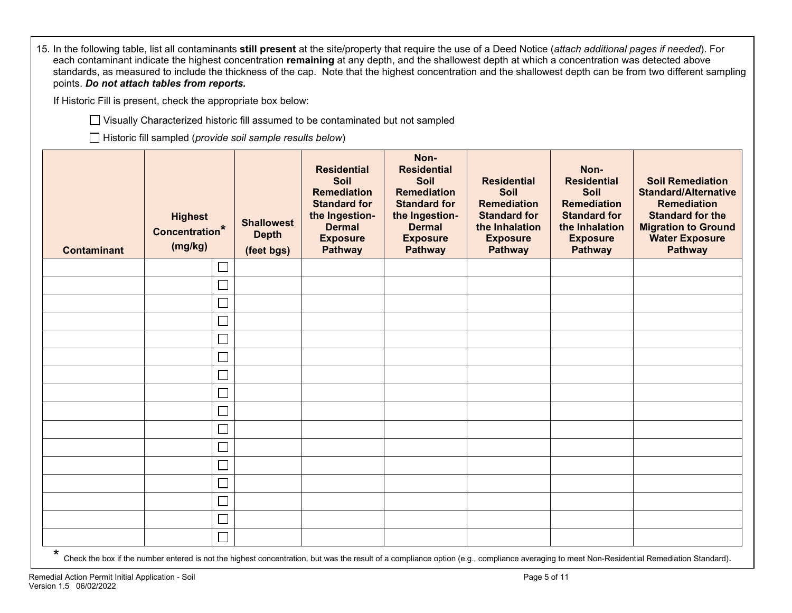| 15. In the following table, list all contaminants still present at the site/property that require the use of a Deed Notice (attach additional pages if needed). For<br>each contaminant indicate the highest concentration remaining at any depth, and the shallowest depth at which a concentration was detected above<br>standards, as measured to include the thickness of the cap. Note that the highest concentration and the shallowest depth can be from two different sampling<br>points. Do not attach tables from reports. |                                                                  |                                                 |                                                                                                                                                        |                                                                                                                                                         |                                                                                                                                |                                                                                                                                               |                                                                                                                                                                                  |
|--------------------------------------------------------------------------------------------------------------------------------------------------------------------------------------------------------------------------------------------------------------------------------------------------------------------------------------------------------------------------------------------------------------------------------------------------------------------------------------------------------------------------------------|------------------------------------------------------------------|-------------------------------------------------|--------------------------------------------------------------------------------------------------------------------------------------------------------|---------------------------------------------------------------------------------------------------------------------------------------------------------|--------------------------------------------------------------------------------------------------------------------------------|-----------------------------------------------------------------------------------------------------------------------------------------------|----------------------------------------------------------------------------------------------------------------------------------------------------------------------------------|
|                                                                                                                                                                                                                                                                                                                                                                                                                                                                                                                                      | If Historic Fill is present, check the appropriate box below:    |                                                 |                                                                                                                                                        |                                                                                                                                                         |                                                                                                                                |                                                                                                                                               |                                                                                                                                                                                  |
| □ Visually Characterized historic fill assumed to be contaminated but not sampled                                                                                                                                                                                                                                                                                                                                                                                                                                                    |                                                                  |                                                 |                                                                                                                                                        |                                                                                                                                                         |                                                                                                                                |                                                                                                                                               |                                                                                                                                                                                  |
|                                                                                                                                                                                                                                                                                                                                                                                                                                                                                                                                      | $\Box$ Historic fill sampled (provide soil sample results below) |                                                 |                                                                                                                                                        |                                                                                                                                                         |                                                                                                                                |                                                                                                                                               |                                                                                                                                                                                  |
| <b>Contaminant</b>                                                                                                                                                                                                                                                                                                                                                                                                                                                                                                                   | <b>Highest</b><br>Concentration*<br>(mg/kg)                      | <b>Shallowest</b><br><b>Depth</b><br>(feet bgs) | <b>Residential</b><br><b>Soil</b><br><b>Remediation</b><br><b>Standard for</b><br>the Ingestion-<br><b>Dermal</b><br><b>Exposure</b><br><b>Pathway</b> | Non-<br><b>Residential</b><br>Soil<br><b>Remediation</b><br><b>Standard for</b><br>the Ingestion-<br><b>Dermal</b><br><b>Exposure</b><br><b>Pathway</b> | <b>Residential</b><br>Soil<br><b>Remediation</b><br><b>Standard for</b><br>the Inhalation<br><b>Exposure</b><br><b>Pathway</b> | Non-<br><b>Residential</b><br><b>Soil</b><br><b>Remediation</b><br><b>Standard for</b><br>the Inhalation<br><b>Exposure</b><br><b>Pathway</b> | <b>Soil Remediation</b><br><b>Standard/Alternative</b><br><b>Remediation</b><br><b>Standard for the</b><br><b>Migration to Ground</b><br><b>Water Exposure</b><br><b>Pathway</b> |
|                                                                                                                                                                                                                                                                                                                                                                                                                                                                                                                                      | $\overline{\phantom{a}}$                                         |                                                 |                                                                                                                                                        |                                                                                                                                                         |                                                                                                                                |                                                                                                                                               |                                                                                                                                                                                  |
|                                                                                                                                                                                                                                                                                                                                                                                                                                                                                                                                      | $\overline{\phantom{a}}$                                         |                                                 |                                                                                                                                                        |                                                                                                                                                         |                                                                                                                                |                                                                                                                                               |                                                                                                                                                                                  |
|                                                                                                                                                                                                                                                                                                                                                                                                                                                                                                                                      |                                                                  |                                                 |                                                                                                                                                        |                                                                                                                                                         |                                                                                                                                |                                                                                                                                               |                                                                                                                                                                                  |
|                                                                                                                                                                                                                                                                                                                                                                                                                                                                                                                                      | ▁                                                                |                                                 |                                                                                                                                                        |                                                                                                                                                         |                                                                                                                                |                                                                                                                                               |                                                                                                                                                                                  |
|                                                                                                                                                                                                                                                                                                                                                                                                                                                                                                                                      | $\overline{\phantom{a}}$                                         |                                                 |                                                                                                                                                        |                                                                                                                                                         |                                                                                                                                |                                                                                                                                               |                                                                                                                                                                                  |
|                                                                                                                                                                                                                                                                                                                                                                                                                                                                                                                                      |                                                                  |                                                 |                                                                                                                                                        |                                                                                                                                                         |                                                                                                                                |                                                                                                                                               |                                                                                                                                                                                  |
|                                                                                                                                                                                                                                                                                                                                                                                                                                                                                                                                      | $\Box$                                                           |                                                 |                                                                                                                                                        |                                                                                                                                                         |                                                                                                                                |                                                                                                                                               |                                                                                                                                                                                  |
|                                                                                                                                                                                                                                                                                                                                                                                                                                                                                                                                      | $\overline{\phantom{0}}$                                         |                                                 |                                                                                                                                                        |                                                                                                                                                         |                                                                                                                                |                                                                                                                                               |                                                                                                                                                                                  |
|                                                                                                                                                                                                                                                                                                                                                                                                                                                                                                                                      |                                                                  |                                                 |                                                                                                                                                        |                                                                                                                                                         |                                                                                                                                |                                                                                                                                               |                                                                                                                                                                                  |
|                                                                                                                                                                                                                                                                                                                                                                                                                                                                                                                                      | $\Box$                                                           |                                                 |                                                                                                                                                        |                                                                                                                                                         |                                                                                                                                |                                                                                                                                               |                                                                                                                                                                                  |
|                                                                                                                                                                                                                                                                                                                                                                                                                                                                                                                                      | $\Box$                                                           |                                                 |                                                                                                                                                        |                                                                                                                                                         |                                                                                                                                |                                                                                                                                               |                                                                                                                                                                                  |
|                                                                                                                                                                                                                                                                                                                                                                                                                                                                                                                                      |                                                                  |                                                 |                                                                                                                                                        |                                                                                                                                                         |                                                                                                                                |                                                                                                                                               |                                                                                                                                                                                  |
|                                                                                                                                                                                                                                                                                                                                                                                                                                                                                                                                      | $\Box$                                                           |                                                 |                                                                                                                                                        |                                                                                                                                                         |                                                                                                                                |                                                                                                                                               |                                                                                                                                                                                  |
|                                                                                                                                                                                                                                                                                                                                                                                                                                                                                                                                      | $\Box$                                                           |                                                 |                                                                                                                                                        |                                                                                                                                                         |                                                                                                                                |                                                                                                                                               |                                                                                                                                                                                  |
|                                                                                                                                                                                                                                                                                                                                                                                                                                                                                                                                      |                                                                  |                                                 |                                                                                                                                                        |                                                                                                                                                         |                                                                                                                                |                                                                                                                                               |                                                                                                                                                                                  |
|                                                                                                                                                                                                                                                                                                                                                                                                                                                                                                                                      | $\Box$                                                           |                                                 |                                                                                                                                                        |                                                                                                                                                         |                                                                                                                                |                                                                                                                                               |                                                                                                                                                                                  |

\*<br>Check the box if the number entered is not the highest concentration, but was the result of a compliance option (e.g., compliance averaging to meet Non-Residential Remediation Standard).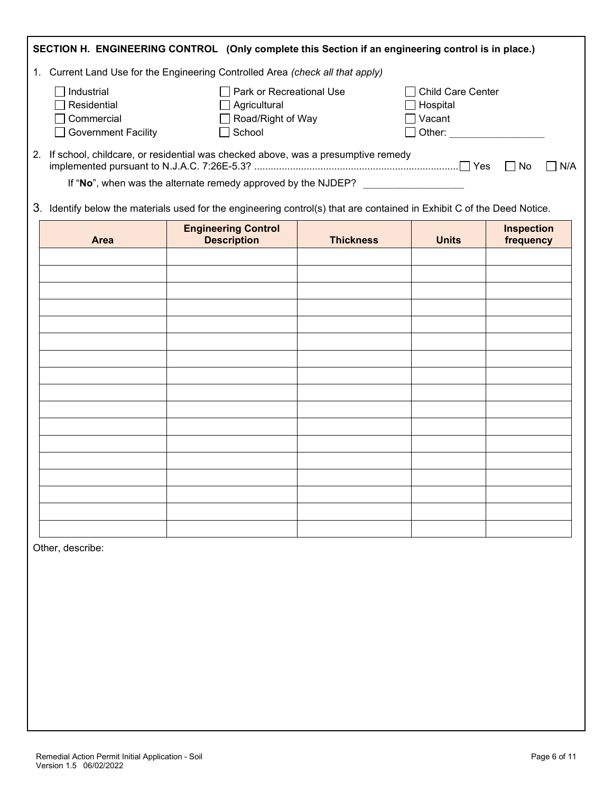|                                                                                | SECTION H. ENGINEERING CONTROL (Only complete this Section if an engineering control is in place.)                      |                  |                                                                                                                        |                                |  |  |
|--------------------------------------------------------------------------------|-------------------------------------------------------------------------------------------------------------------------|------------------|------------------------------------------------------------------------------------------------------------------------|--------------------------------|--|--|
| 1. Current Land Use for the Engineering Controlled Area (check all that apply) |                                                                                                                         |                  |                                                                                                                        |                                |  |  |
| Industrial<br>Residential<br>Commercial<br><b>Government Facility</b>          | Park or Recreational Use<br>$\Box$ Agricultural<br>Road/Right of Way<br>School                                          |                  | □ Child Care Center<br>$\Box$ Hospital<br>$\exists$ Vacant<br>Other: <b>William Street Street Street Street Street</b> |                                |  |  |
|                                                                                | 2. If school, childcare, or residential was checked above, was a presumptive remedy                                     |                  |                                                                                                                        | N/A                            |  |  |
|                                                                                | If "No", when was the alternate remedy approved by the NJDEP?                                                           |                  |                                                                                                                        |                                |  |  |
|                                                                                | 3. Identify below the materials used for the engineering control(s) that are contained in Exhibit C of the Deed Notice. |                  |                                                                                                                        |                                |  |  |
| Area                                                                           | <b>Engineering Control</b><br><b>Description</b>                                                                        | <b>Thickness</b> | <b>Units</b>                                                                                                           | <b>Inspection</b><br>frequency |  |  |
|                                                                                |                                                                                                                         |                  |                                                                                                                        |                                |  |  |
|                                                                                |                                                                                                                         |                  |                                                                                                                        |                                |  |  |
|                                                                                |                                                                                                                         |                  |                                                                                                                        |                                |  |  |
|                                                                                |                                                                                                                         |                  |                                                                                                                        |                                |  |  |
|                                                                                |                                                                                                                         |                  |                                                                                                                        |                                |  |  |
|                                                                                |                                                                                                                         |                  |                                                                                                                        |                                |  |  |
|                                                                                |                                                                                                                         |                  |                                                                                                                        |                                |  |  |
|                                                                                |                                                                                                                         |                  |                                                                                                                        |                                |  |  |
|                                                                                |                                                                                                                         |                  |                                                                                                                        |                                |  |  |
|                                                                                |                                                                                                                         |                  |                                                                                                                        |                                |  |  |
|                                                                                |                                                                                                                         |                  |                                                                                                                        |                                |  |  |
|                                                                                |                                                                                                                         |                  |                                                                                                                        |                                |  |  |
|                                                                                |                                                                                                                         |                  |                                                                                                                        |                                |  |  |
|                                                                                |                                                                                                                         |                  |                                                                                                                        |                                |  |  |
|                                                                                |                                                                                                                         |                  |                                                                                                                        |                                |  |  |
|                                                                                |                                                                                                                         |                  |                                                                                                                        |                                |  |  |
|                                                                                |                                                                                                                         |                  |                                                                                                                        |                                |  |  |

Other, describe: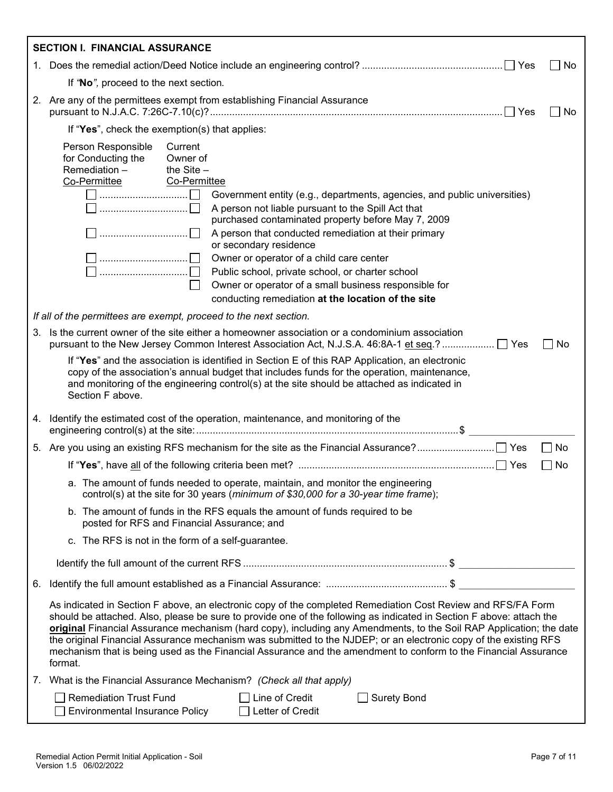|                                                                                                                                                                                                                                                                                                                                                                                                                                                                                                                                                                                                               | <b>SECTION I. FINANCIAL ASSURANCE</b>                                                                                                                                                                                                                                                                                                                                                                                                                                                                                                                                                                                    |  |  |  |  |
|---------------------------------------------------------------------------------------------------------------------------------------------------------------------------------------------------------------------------------------------------------------------------------------------------------------------------------------------------------------------------------------------------------------------------------------------------------------------------------------------------------------------------------------------------------------------------------------------------------------|--------------------------------------------------------------------------------------------------------------------------------------------------------------------------------------------------------------------------------------------------------------------------------------------------------------------------------------------------------------------------------------------------------------------------------------------------------------------------------------------------------------------------------------------------------------------------------------------------------------------------|--|--|--|--|
|                                                                                                                                                                                                                                                                                                                                                                                                                                                                                                                                                                                                               | No                                                                                                                                                                                                                                                                                                                                                                                                                                                                                                                                                                                                                       |  |  |  |  |
|                                                                                                                                                                                                                                                                                                                                                                                                                                                                                                                                                                                                               | If "No", proceed to the next section.                                                                                                                                                                                                                                                                                                                                                                                                                                                                                                                                                                                    |  |  |  |  |
|                                                                                                                                                                                                                                                                                                                                                                                                                                                                                                                                                                                                               | 2. Are any of the permittees exempt from establishing Financial Assurance<br>No.                                                                                                                                                                                                                                                                                                                                                                                                                                                                                                                                         |  |  |  |  |
|                                                                                                                                                                                                                                                                                                                                                                                                                                                                                                                                                                                                               | If "Yes", check the exemption(s) that applies:                                                                                                                                                                                                                                                                                                                                                                                                                                                                                                                                                                           |  |  |  |  |
|                                                                                                                                                                                                                                                                                                                                                                                                                                                                                                                                                                                                               | Person Responsible<br>Current<br>for Conducting the<br>Owner of<br>Remediation-<br>the $Site -$<br>Co-Permittee<br>Co-Permittee<br>Government entity (e.g., departments, agencies, and public universities)<br>A person not liable pursuant to the Spill Act that<br>purchased contaminated property before May 7, 2009<br>A person that conducted remediation at their primary<br>or secondary residence<br>Owner or operator of a child care center<br>Public school, private school, or charter school<br>Owner or operator of a small business responsible for<br>conducting remediation at the location of the site |  |  |  |  |
|                                                                                                                                                                                                                                                                                                                                                                                                                                                                                                                                                                                                               | If all of the permittees are exempt, proceed to the next section.                                                                                                                                                                                                                                                                                                                                                                                                                                                                                                                                                        |  |  |  |  |
|                                                                                                                                                                                                                                                                                                                                                                                                                                                                                                                                                                                                               | 3. Is the current owner of the site either a homeowner association or a condominium association<br>  No                                                                                                                                                                                                                                                                                                                                                                                                                                                                                                                  |  |  |  |  |
|                                                                                                                                                                                                                                                                                                                                                                                                                                                                                                                                                                                                               | If "Yes" and the association is identified in Section E of this RAP Application, an electronic<br>copy of the association's annual budget that includes funds for the operation, maintenance,<br>and monitoring of the engineering control(s) at the site should be attached as indicated in<br>Section F above.                                                                                                                                                                                                                                                                                                         |  |  |  |  |
|                                                                                                                                                                                                                                                                                                                                                                                                                                                                                                                                                                                                               | 4. Identify the estimated cost of the operation, maintenance, and monitoring of the                                                                                                                                                                                                                                                                                                                                                                                                                                                                                                                                      |  |  |  |  |
|                                                                                                                                                                                                                                                                                                                                                                                                                                                                                                                                                                                                               | $\Box$ No                                                                                                                                                                                                                                                                                                                                                                                                                                                                                                                                                                                                                |  |  |  |  |
|                                                                                                                                                                                                                                                                                                                                                                                                                                                                                                                                                                                                               | No                                                                                                                                                                                                                                                                                                                                                                                                                                                                                                                                                                                                                       |  |  |  |  |
|                                                                                                                                                                                                                                                                                                                                                                                                                                                                                                                                                                                                               | a. The amount of funds needed to operate, maintain, and monitor the engineering<br>control(s) at the site for 30 years (minimum of \$30,000 for a 30-year time frame);                                                                                                                                                                                                                                                                                                                                                                                                                                                   |  |  |  |  |
|                                                                                                                                                                                                                                                                                                                                                                                                                                                                                                                                                                                                               | b. The amount of funds in the RFS equals the amount of funds required to be<br>posted for RFS and Financial Assurance; and                                                                                                                                                                                                                                                                                                                                                                                                                                                                                               |  |  |  |  |
|                                                                                                                                                                                                                                                                                                                                                                                                                                                                                                                                                                                                               | c. The RFS is not in the form of a self-guarantee.                                                                                                                                                                                                                                                                                                                                                                                                                                                                                                                                                                       |  |  |  |  |
|                                                                                                                                                                                                                                                                                                                                                                                                                                                                                                                                                                                                               |                                                                                                                                                                                                                                                                                                                                                                                                                                                                                                                                                                                                                          |  |  |  |  |
|                                                                                                                                                                                                                                                                                                                                                                                                                                                                                                                                                                                                               |                                                                                                                                                                                                                                                                                                                                                                                                                                                                                                                                                                                                                          |  |  |  |  |
| As indicated in Section F above, an electronic copy of the completed Remediation Cost Review and RFS/FA Form<br>should be attached. Also, please be sure to provide one of the following as indicated in Section F above: attach the<br>original Financial Assurance mechanism (hard copy), including any Amendments, to the Soil RAP Application; the date<br>the original Financial Assurance mechanism was submitted to the NJDEP; or an electronic copy of the existing RFS<br>mechanism that is being used as the Financial Assurance and the amendment to conform to the Financial Assurance<br>format. |                                                                                                                                                                                                                                                                                                                                                                                                                                                                                                                                                                                                                          |  |  |  |  |
|                                                                                                                                                                                                                                                                                                                                                                                                                                                                                                                                                                                                               | 7. What is the Financial Assurance Mechanism? (Check all that apply)                                                                                                                                                                                                                                                                                                                                                                                                                                                                                                                                                     |  |  |  |  |
|                                                                                                                                                                                                                                                                                                                                                                                                                                                                                                                                                                                                               | $\Box$ Remediation Trust Fund<br>Line of Credit<br><b>Surety Bond</b><br><b>Environmental Insurance Policy</b><br>Letter of Credit<br>$\perp$                                                                                                                                                                                                                                                                                                                                                                                                                                                                            |  |  |  |  |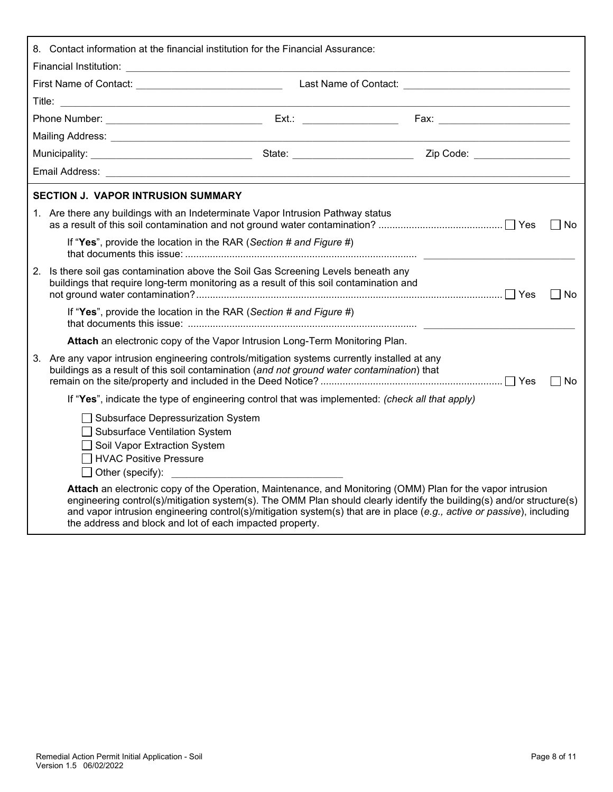| 8. Contact information at the financial institution for the Financial Assurance: |                                                                                                                                                                                                                                                                                                                                                                                                                           |  |  |  |        |
|----------------------------------------------------------------------------------|---------------------------------------------------------------------------------------------------------------------------------------------------------------------------------------------------------------------------------------------------------------------------------------------------------------------------------------------------------------------------------------------------------------------------|--|--|--|--------|
|                                                                                  |                                                                                                                                                                                                                                                                                                                                                                                                                           |  |  |  |        |
|                                                                                  |                                                                                                                                                                                                                                                                                                                                                                                                                           |  |  |  |        |
|                                                                                  |                                                                                                                                                                                                                                                                                                                                                                                                                           |  |  |  |        |
|                                                                                  |                                                                                                                                                                                                                                                                                                                                                                                                                           |  |  |  |        |
|                                                                                  |                                                                                                                                                                                                                                                                                                                                                                                                                           |  |  |  |        |
|                                                                                  |                                                                                                                                                                                                                                                                                                                                                                                                                           |  |  |  |        |
|                                                                                  | <b>SECTION J. VAPOR INTRUSION SUMMARY</b>                                                                                                                                                                                                                                                                                                                                                                                 |  |  |  |        |
|                                                                                  | 1. Are there any buildings with an Indeterminate Vapor Intrusion Pathway status                                                                                                                                                                                                                                                                                                                                           |  |  |  | l INo  |
|                                                                                  | If "Yes", provide the location in the RAR (Section # and Figure #)                                                                                                                                                                                                                                                                                                                                                        |  |  |  |        |
|                                                                                  | 2. Is there soil gas contamination above the Soil Gas Screening Levels beneath any<br>buildings that require long-term monitoring as a result of this soil contamination and                                                                                                                                                                                                                                              |  |  |  | l INo  |
|                                                                                  | If "Yes", provide the location in the RAR (Section # and Figure #)                                                                                                                                                                                                                                                                                                                                                        |  |  |  |        |
|                                                                                  | Attach an electronic copy of the Vapor Intrusion Long-Term Monitoring Plan.                                                                                                                                                                                                                                                                                                                                               |  |  |  |        |
| 3.                                                                               | Are any vapor intrusion engineering controls/mitigation systems currently installed at any<br>buildings as a result of this soil contamination (and not ground water contamination) that                                                                                                                                                                                                                                  |  |  |  | l I No |
|                                                                                  | If "Yes", indicate the type of engineering control that was implemented: (check all that apply)                                                                                                                                                                                                                                                                                                                           |  |  |  |        |
|                                                                                  | Subsurface Depressurization System<br>□ Subsurface Ventilation System<br>Soil Vapor Extraction System<br>$\Box$ HVAC Positive Pressure<br>$\Box$ Other (specify):                                                                                                                                                                                                                                                         |  |  |  |        |
|                                                                                  | Attach an electronic copy of the Operation, Maintenance, and Monitoring (OMM) Plan for the vapor intrusion<br>engineering control(s)/mitigation system(s). The OMM Plan should clearly identify the building(s) and/or structure(s)<br>and vapor intrusion engineering control(s)/mitigation system(s) that are in place (e.g., active or passive), including<br>the address and block and lot of each impacted property. |  |  |  |        |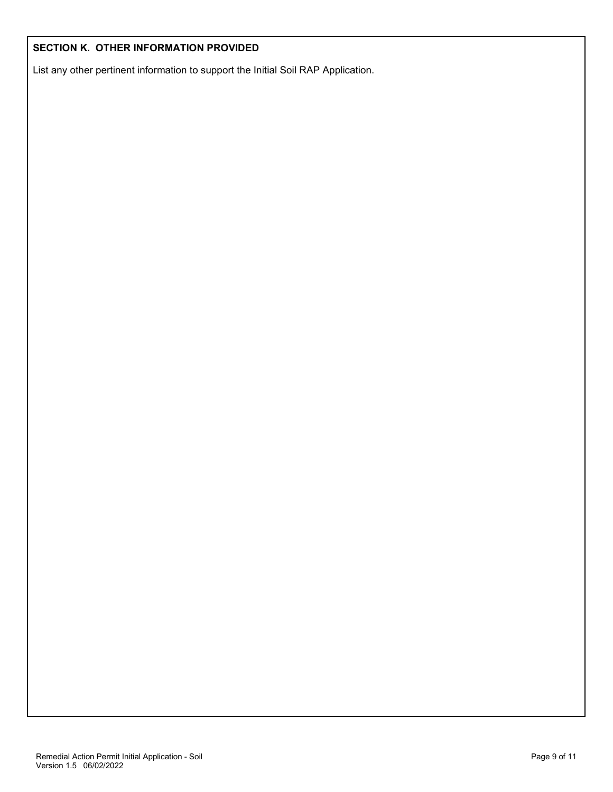#### **SECTION K. OTHER INFORMATION PROVIDED**

List any other pertinent information to support the Initial Soil RAP Application.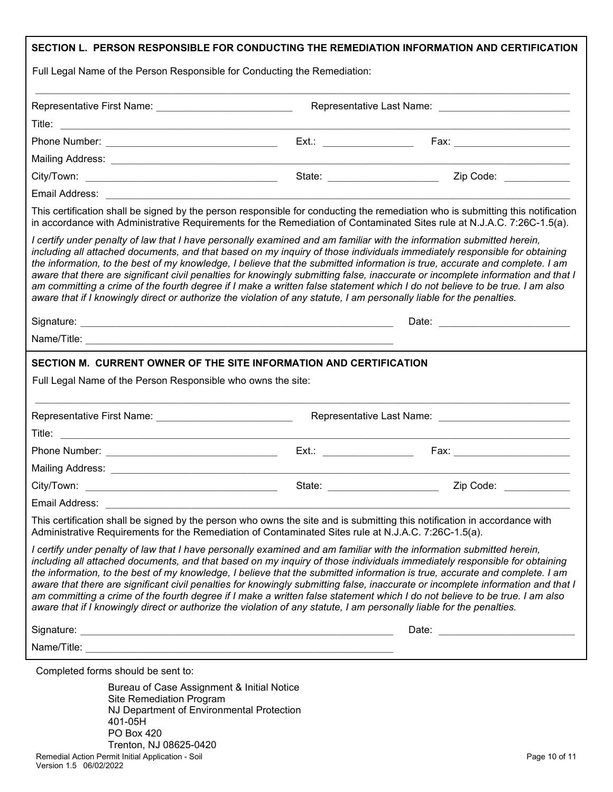| Full Legal Name of the Person Responsible for Conducting the Remediation:                                                                                                                                                                      | SECTION L. PERSON RESPONSIBLE FOR CONDUCTING THE REMEDIATION INFORMATION AND CERTIFICATION                                                                                                                                                                                                                                                                                                                                                                                                                                  |
|------------------------------------------------------------------------------------------------------------------------------------------------------------------------------------------------------------------------------------------------|-----------------------------------------------------------------------------------------------------------------------------------------------------------------------------------------------------------------------------------------------------------------------------------------------------------------------------------------------------------------------------------------------------------------------------------------------------------------------------------------------------------------------------|
| Representative First Name: _____________________________                                                                                                                                                                                       |                                                                                                                                                                                                                                                                                                                                                                                                                                                                                                                             |
|                                                                                                                                                                                                                                                |                                                                                                                                                                                                                                                                                                                                                                                                                                                                                                                             |
|                                                                                                                                                                                                                                                |                                                                                                                                                                                                                                                                                                                                                                                                                                                                                                                             |
|                                                                                                                                                                                                                                                |                                                                                                                                                                                                                                                                                                                                                                                                                                                                                                                             |
|                                                                                                                                                                                                                                                |                                                                                                                                                                                                                                                                                                                                                                                                                                                                                                                             |
|                                                                                                                                                                                                                                                |                                                                                                                                                                                                                                                                                                                                                                                                                                                                                                                             |
|                                                                                                                                                                                                                                                | This certification shall be signed by the person responsible for conducting the remediation who is submitting this notification<br>in accordance with Administrative Requirements for the Remediation of Contaminated Sites rule at N.J.A.C. 7:26C-1.5(a).                                                                                                                                                                                                                                                                  |
| I certify under penalty of law that I have personally examined and am familiar with the information submitted herein,<br>aware that if I knowingly direct or authorize the violation of any statute, I am personally liable for the penalties. | including all attached documents, and that based on my inquiry of those individuals immediately responsible for obtaining<br>the information, to the best of my knowledge, I believe that the submitted information is true, accurate and complete. I am<br>aware that there are significant civil penalties for knowingly submitting false, inaccurate or incomplete information and that I<br>am committing a crime of the fourth degree if I make a written false statement which I do not believe to be true. I am also |
|                                                                                                                                                                                                                                                |                                                                                                                                                                                                                                                                                                                                                                                                                                                                                                                             |
|                                                                                                                                                                                                                                                |                                                                                                                                                                                                                                                                                                                                                                                                                                                                                                                             |
|                                                                                                                                                                                                                                                |                                                                                                                                                                                                                                                                                                                                                                                                                                                                                                                             |
|                                                                                                                                                                                                                                                | Fax: _________________________                                                                                                                                                                                                                                                                                                                                                                                                                                                                                              |
| Mailing Address: Law Mailing Address: Law Mailing Address: Law Mailing Address: Law Mailing Address: Law Mailing Address: Law Mailing Address: Law Mailing Address: Law Mailing Address: Law Mailing Address: Law Mailing Addr                 |                                                                                                                                                                                                                                                                                                                                                                                                                                                                                                                             |
| City/Town:                                                                                                                                                                                                                                     | Zip Code:                                                                                                                                                                                                                                                                                                                                                                                                                                                                                                                   |
| Email Address:                                                                                                                                                                                                                                 |                                                                                                                                                                                                                                                                                                                                                                                                                                                                                                                             |
| This certification shall be signed by the person who owns the site and is submitting this notification in accordance with<br>Administrative Requirements for the Remediation of Contaminated Sites rule at N.J.A.C. 7:26C-1.5(a).              |                                                                                                                                                                                                                                                                                                                                                                                                                                                                                                                             |
| I certify under penalty of law that I have personally examined and am familiar with the information submitted herein,<br>aware that if I knowingly direct or authorize the violation of any statute, I am personally liable for the penalties. | including all attached documents, and that based on my inquiry of those individuals immediately responsible for obtaining<br>the information, to the best of my knowledge, I believe that the submitted information is true, accurate and complete. I am<br>aware that there are significant civil penalties for knowingly submitting false, inaccurate or incomplete information and that I<br>am committing a crime of the fourth degree if I make a written false statement which I do not believe to be true. I am also |
|                                                                                                                                                                                                                                                |                                                                                                                                                                                                                                                                                                                                                                                                                                                                                                                             |
|                                                                                                                                                                                                                                                |                                                                                                                                                                                                                                                                                                                                                                                                                                                                                                                             |
| Completed forms should be sent to:                                                                                                                                                                                                             |                                                                                                                                                                                                                                                                                                                                                                                                                                                                                                                             |
| Bureau of Case Assignment & Initial Notice<br>Site Remediation Program<br>NJ Department of Environmental Protection<br>401-05H<br>PO Box 420                                                                                                   |                                                                                                                                                                                                                                                                                                                                                                                                                                                                                                                             |

Remedial Action Permit Initial Application - Soil Page 10 of 11 Trenton, NJ 08625-0420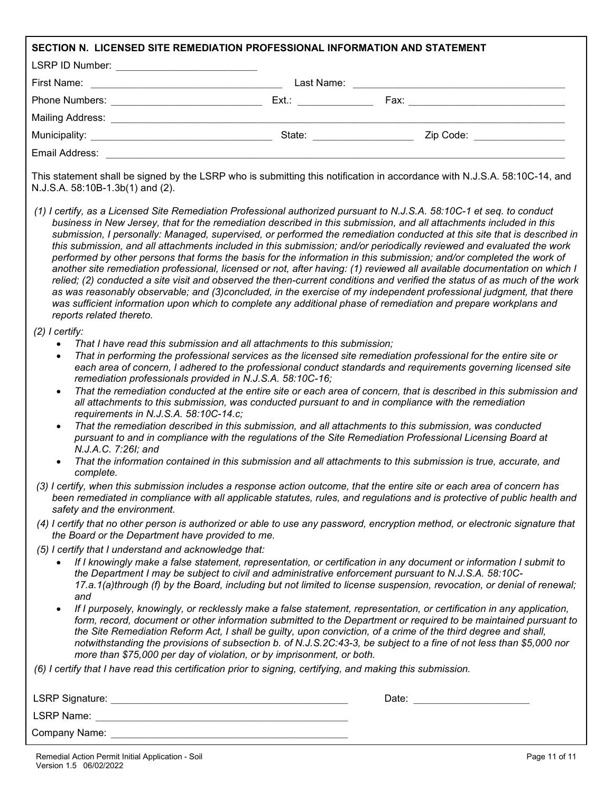| SECTION N. LICENSED SITE REMEDIATION PROFESSIONAL INFORMATION AND STATEMENT                                                                                                                                                                                                                             |                                                                                                                                                                                                                                                                                                                                                                                                                                                                                                                                                                                                                                                                                                                                                                                                                                                                                                                                                                                                                                                                                                                                |
|---------------------------------------------------------------------------------------------------------------------------------------------------------------------------------------------------------------------------------------------------------------------------------------------------------|--------------------------------------------------------------------------------------------------------------------------------------------------------------------------------------------------------------------------------------------------------------------------------------------------------------------------------------------------------------------------------------------------------------------------------------------------------------------------------------------------------------------------------------------------------------------------------------------------------------------------------------------------------------------------------------------------------------------------------------------------------------------------------------------------------------------------------------------------------------------------------------------------------------------------------------------------------------------------------------------------------------------------------------------------------------------------------------------------------------------------------|
| LSRP ID Number: ____________________________                                                                                                                                                                                                                                                            |                                                                                                                                                                                                                                                                                                                                                                                                                                                                                                                                                                                                                                                                                                                                                                                                                                                                                                                                                                                                                                                                                                                                |
|                                                                                                                                                                                                                                                                                                         |                                                                                                                                                                                                                                                                                                                                                                                                                                                                                                                                                                                                                                                                                                                                                                                                                                                                                                                                                                                                                                                                                                                                |
|                                                                                                                                                                                                                                                                                                         |                                                                                                                                                                                                                                                                                                                                                                                                                                                                                                                                                                                                                                                                                                                                                                                                                                                                                                                                                                                                                                                                                                                                |
|                                                                                                                                                                                                                                                                                                         |                                                                                                                                                                                                                                                                                                                                                                                                                                                                                                                                                                                                                                                                                                                                                                                                                                                                                                                                                                                                                                                                                                                                |
|                                                                                                                                                                                                                                                                                                         | Zip Code: _________________                                                                                                                                                                                                                                                                                                                                                                                                                                                                                                                                                                                                                                                                                                                                                                                                                                                                                                                                                                                                                                                                                                    |
|                                                                                                                                                                                                                                                                                                         |                                                                                                                                                                                                                                                                                                                                                                                                                                                                                                                                                                                                                                                                                                                                                                                                                                                                                                                                                                                                                                                                                                                                |
| N.J.S.A. 58:10B-1.3b(1) and (2).                                                                                                                                                                                                                                                                        | This statement shall be signed by the LSRP who is submitting this notification in accordance with N.J.S.A. 58:10C-14, and                                                                                                                                                                                                                                                                                                                                                                                                                                                                                                                                                                                                                                                                                                                                                                                                                                                                                                                                                                                                      |
| reports related thereto.                                                                                                                                                                                                                                                                                | (1) I certify, as a Licensed Site Remediation Professional authorized pursuant to N.J.S.A. 58:10C-1 et seq. to conduct<br>business in New Jersey, that for the remediation described in this submission, and all attachments included in this<br>submission, I personally: Managed, supervised, or performed the remediation conducted at this site that is described in<br>this submission, and all attachments included in this submission; and/or periodically reviewed and evaluated the work<br>performed by other persons that forms the basis for the information in this submission; and/or completed the work of<br>another site remediation professional, licensed or not, after having: (1) reviewed all available documentation on which I<br>relied; (2) conducted a site visit and observed the then-current conditions and verified the status of as much of the work<br>as was reasonably observable; and (3)concluded, in the exercise of my independent professional judgment, that there<br>was sufficient information upon which to complete any additional phase of remediation and prepare workplans and |
| $(2)$ I certify:<br>That I have read this submission and all attachments to this submission;<br>$\bullet$<br>$\bullet$<br>remediation professionals provided in N.J.S.A. 58:10C-16;<br>$\bullet$<br>requirements in N.J.S.A. 58:10C-14.c;<br>$\bullet$<br>N.J.A.C. 7:26I; and<br>$\bullet$<br>complete. | That in performing the professional services as the licensed site remediation professional for the entire site or<br>each area of concern, I adhered to the professional conduct standards and requirements governing licensed site<br>That the remediation conducted at the entire site or each area of concern, that is described in this submission and<br>all attachments to this submission, was conducted pursuant to and in compliance with the remediation<br>That the remediation described in this submission, and all attachments to this submission, was conducted<br>pursuant to and in compliance with the regulations of the Site Remediation Professional Licensing Board at<br>That the information contained in this submission and all attachments to this submission is true, accurate, and                                                                                                                                                                                                                                                                                                                |
| safety and the environment.                                                                                                                                                                                                                                                                             | (3) I certify, when this submission includes a response action outcome, that the entire site or each area of concern has<br>been remediated in compliance with all applicable statutes, rules, and regulations and is protective of public health and                                                                                                                                                                                                                                                                                                                                                                                                                                                                                                                                                                                                                                                                                                                                                                                                                                                                          |
| the Board or the Department have provided to me.                                                                                                                                                                                                                                                        | (4) I certify that no other person is authorized or able to use any password, encryption method, or electronic signature that                                                                                                                                                                                                                                                                                                                                                                                                                                                                                                                                                                                                                                                                                                                                                                                                                                                                                                                                                                                                  |
| (5) I certify that I understand and acknowledge that:<br>and<br>more than \$75,000 per day of violation, or by imprisonment, or both.                                                                                                                                                                   | If I knowingly make a false statement, representation, or certification in any document or information I submit to<br>the Department I may be subject to civil and administrative enforcement pursuant to N.J.S.A. 58:10C-<br>17.a.1(a)through (f) by the Board, including but not limited to license suspension, revocation, or denial of renewal;<br>If I purposely, knowingly, or recklessly make a false statement, representation, or certification in any application,<br>form, record, document or other information submitted to the Department or required to be maintained pursuant to<br>the Site Remediation Reform Act, I shall be guilty, upon conviction, of a crime of the third degree and shall,<br>notwithstanding the provisions of subsection b. of N.J.S.2C:43-3, be subject to a fine of not less than \$5,000 nor                                                                                                                                                                                                                                                                                      |
| (6) I certify that I have read this certification prior to signing, certifying, and making this submission.                                                                                                                                                                                             |                                                                                                                                                                                                                                                                                                                                                                                                                                                                                                                                                                                                                                                                                                                                                                                                                                                                                                                                                                                                                                                                                                                                |
|                                                                                                                                                                                                                                                                                                         |                                                                                                                                                                                                                                                                                                                                                                                                                                                                                                                                                                                                                                                                                                                                                                                                                                                                                                                                                                                                                                                                                                                                |
| LSRP Name: <u>December 2008</u>                                                                                                                                                                                                                                                                         |                                                                                                                                                                                                                                                                                                                                                                                                                                                                                                                                                                                                                                                                                                                                                                                                                                                                                                                                                                                                                                                                                                                                |

Company Name: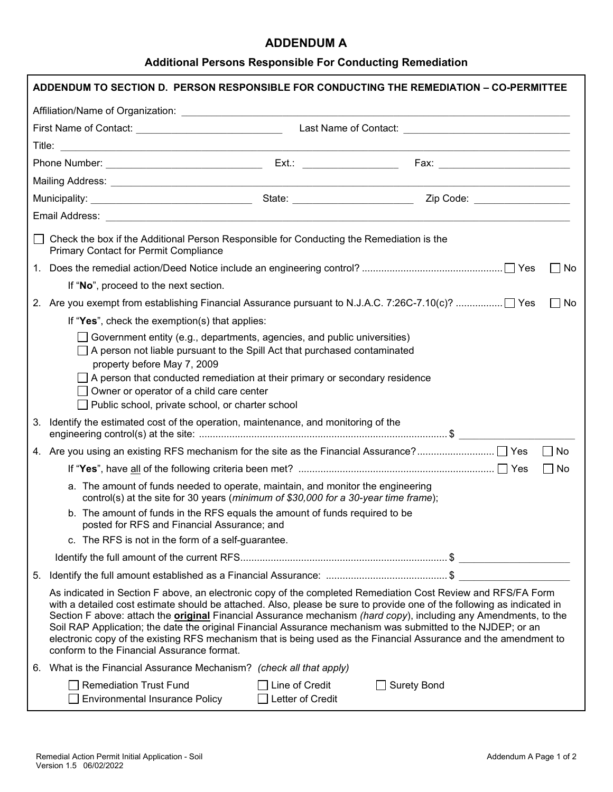#### **ADDENDUM A**

# **Additional Persons Responsible For Conducting Remediation**

| <b>Primary Contact for Permit Compliance</b>                           | Check the box if the Additional Person Responsible for Conducting the Remediation is the                                                                               |                                                                                                                                                                                                                                                                                                                                                                                                                                                                                                                                                                                                      |
|------------------------------------------------------------------------|------------------------------------------------------------------------------------------------------------------------------------------------------------------------|------------------------------------------------------------------------------------------------------------------------------------------------------------------------------------------------------------------------------------------------------------------------------------------------------------------------------------------------------------------------------------------------------------------------------------------------------------------------------------------------------------------------------------------------------------------------------------------------------|
|                                                                        |                                                                                                                                                                        | No                                                                                                                                                                                                                                                                                                                                                                                                                                                                                                                                                                                                   |
| If "No", proceed to the next section.                                  |                                                                                                                                                                        |                                                                                                                                                                                                                                                                                                                                                                                                                                                                                                                                                                                                      |
|                                                                        |                                                                                                                                                                        | No<br>$\perp$                                                                                                                                                                                                                                                                                                                                                                                                                                                                                                                                                                                        |
|                                                                        | If "Yes", check the exemption(s) that applies:                                                                                                                         |                                                                                                                                                                                                                                                                                                                                                                                                                                                                                                                                                                                                      |
| property before May 7, 2009                                            | Government entity (e.g., departments, agencies, and public universities)<br>A person not liable pursuant to the Spill Act that purchased contaminated                  |                                                                                                                                                                                                                                                                                                                                                                                                                                                                                                                                                                                                      |
|                                                                        | $\Box$ A person that conducted remediation at their primary or secondary residence<br>Owner or operator of a child care center                                         |                                                                                                                                                                                                                                                                                                                                                                                                                                                                                                                                                                                                      |
|                                                                        | Public school, private school, or charter school                                                                                                                       |                                                                                                                                                                                                                                                                                                                                                                                                                                                                                                                                                                                                      |
| 3.                                                                     | Identify the estimated cost of the operation, maintenance, and monitoring of the                                                                                       |                                                                                                                                                                                                                                                                                                                                                                                                                                                                                                                                                                                                      |
|                                                                        |                                                                                                                                                                        | $\Box$ No                                                                                                                                                                                                                                                                                                                                                                                                                                                                                                                                                                                            |
|                                                                        |                                                                                                                                                                        | $\square$ No                                                                                                                                                                                                                                                                                                                                                                                                                                                                                                                                                                                         |
|                                                                        | a. The amount of funds needed to operate, maintain, and monitor the engineering<br>control(s) at the site for 30 years (minimum of \$30,000 for a 30-year time frame); |                                                                                                                                                                                                                                                                                                                                                                                                                                                                                                                                                                                                      |
|                                                                        | b. The amount of funds in the RFS equals the amount of funds required to be<br>posted for RFS and Financial Assurance; and                                             |                                                                                                                                                                                                                                                                                                                                                                                                                                                                                                                                                                                                      |
|                                                                        | c. The RFS is not in the form of a self-guarantee.                                                                                                                     |                                                                                                                                                                                                                                                                                                                                                                                                                                                                                                                                                                                                      |
|                                                                        |                                                                                                                                                                        |                                                                                                                                                                                                                                                                                                                                                                                                                                                                                                                                                                                                      |
| 5.                                                                     |                                                                                                                                                                        |                                                                                                                                                                                                                                                                                                                                                                                                                                                                                                                                                                                                      |
| conform to the Financial Assurance format.                             |                                                                                                                                                                        | As indicated in Section F above, an electronic copy of the completed Remediation Cost Review and RFS/FA Form<br>with a detailed cost estimate should be attached. Also, please be sure to provide one of the following as indicated in<br>Section F above: attach the <b>original</b> Financial Assurance mechanism (hard copy), including any Amendments, to the<br>Soil RAP Application; the date the original Financial Assurance mechanism was submitted to the NJDEP; or an<br>electronic copy of the existing RFS mechanism that is being used as the Financial Assurance and the amendment to |
|                                                                        | 6. What is the Financial Assurance Mechanism? (check all that apply)                                                                                                   |                                                                                                                                                                                                                                                                                                                                                                                                                                                                                                                                                                                                      |
| <b>Remediation Trust Fund</b><br><b>Environmental Insurance Policy</b> | Line of Credit<br>Letter of Credit                                                                                                                                     | <b>Surety Bond</b>                                                                                                                                                                                                                                                                                                                                                                                                                                                                                                                                                                                   |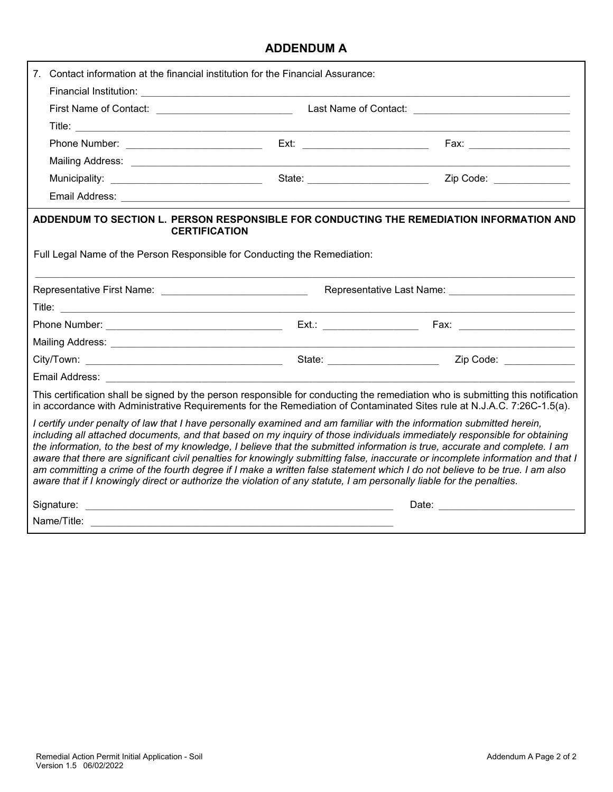# **ADDENDUM A**

| Contact information at the financial institution for the Financial Assurance:                                                                                                                                                                                                                                                                                                                                                                                                                                                                                                                                                             |                                |                                                                                                                                  |
|-------------------------------------------------------------------------------------------------------------------------------------------------------------------------------------------------------------------------------------------------------------------------------------------------------------------------------------------------------------------------------------------------------------------------------------------------------------------------------------------------------------------------------------------------------------------------------------------------------------------------------------------|--------------------------------|----------------------------------------------------------------------------------------------------------------------------------|
|                                                                                                                                                                                                                                                                                                                                                                                                                                                                                                                                                                                                                                           |                                |                                                                                                                                  |
|                                                                                                                                                                                                                                                                                                                                                                                                                                                                                                                                                                                                                                           |                                |                                                                                                                                  |
|                                                                                                                                                                                                                                                                                                                                                                                                                                                                                                                                                                                                                                           |                                |                                                                                                                                  |
|                                                                                                                                                                                                                                                                                                                                                                                                                                                                                                                                                                                                                                           |                                |                                                                                                                                  |
|                                                                                                                                                                                                                                                                                                                                                                                                                                                                                                                                                                                                                                           |                                |                                                                                                                                  |
|                                                                                                                                                                                                                                                                                                                                                                                                                                                                                                                                                                                                                                           |                                |                                                                                                                                  |
|                                                                                                                                                                                                                                                                                                                                                                                                                                                                                                                                                                                                                                           |                                |                                                                                                                                  |
| ADDENDUM TO SECTION L. PERSON RESPONSIBLE FOR CONDUCTING THE REMEDIATION INFORMATION AND<br><b>CERTIFICATION</b><br>Full Legal Name of the Person Responsible for Conducting the Remediation:                                                                                                                                                                                                                                                                                                                                                                                                                                             |                                |                                                                                                                                  |
|                                                                                                                                                                                                                                                                                                                                                                                                                                                                                                                                                                                                                                           |                                |                                                                                                                                  |
|                                                                                                                                                                                                                                                                                                                                                                                                                                                                                                                                                                                                                                           |                                |                                                                                                                                  |
|                                                                                                                                                                                                                                                                                                                                                                                                                                                                                                                                                                                                                                           |                                |                                                                                                                                  |
|                                                                                                                                                                                                                                                                                                                                                                                                                                                                                                                                                                                                                                           |                                |                                                                                                                                  |
|                                                                                                                                                                                                                                                                                                                                                                                                                                                                                                                                                                                                                                           | State: _______________________ | Zip Code: _____________                                                                                                          |
|                                                                                                                                                                                                                                                                                                                                                                                                                                                                                                                                                                                                                                           |                                |                                                                                                                                  |
| in accordance with Administrative Requirements for the Remediation of Contaminated Sites rule at N.J.A.C. 7:26C-1.5(a).                                                                                                                                                                                                                                                                                                                                                                                                                                                                                                                   |                                | This certification shall be signed by the person responsible for conducting the remediation who is submitting this notification  |
| I certify under penalty of law that I have personally examined and am familiar with the information submitted herein,<br>including all attached documents, and that based on my inquiry of those individuals immediately responsible for obtaining<br>the information, to the best of my knowledge, I believe that the submitted information is true, accurate and complete. I am<br>am committing a crime of the fourth degree if I make a written false statement which I do not believe to be true. I am also<br>aware that if I knowingly direct or authorize the violation of any statute, I am personally liable for the penalties. |                                | aware that there are significant civil penalties for knowingly submitting false, inaccurate or incomplete information and that I |
|                                                                                                                                                                                                                                                                                                                                                                                                                                                                                                                                                                                                                                           |                                |                                                                                                                                  |
|                                                                                                                                                                                                                                                                                                                                                                                                                                                                                                                                                                                                                                           |                                |                                                                                                                                  |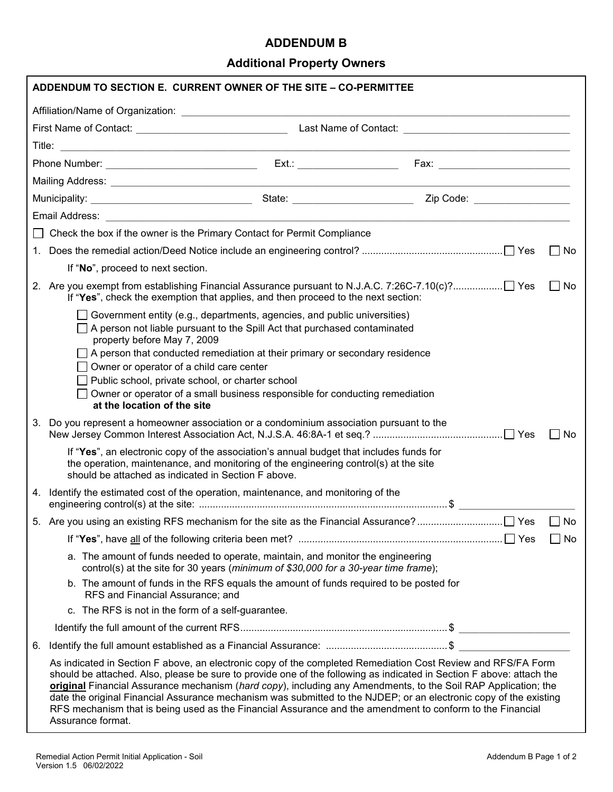#### **ADDENDUM B**

# **Additional Property Owners**

| ADDENDUM TO SECTION E. CURRENT OWNER OF THE SITE - CO-PERMITTEE                   |                                                                                                                                                                                                                                                                                                                                                                                                                                                                                                                                                                                          |                                                                                                                                                                                                                                                                                                                                    |  |  |           |  |  |  |  |  |
|-----------------------------------------------------------------------------------|------------------------------------------------------------------------------------------------------------------------------------------------------------------------------------------------------------------------------------------------------------------------------------------------------------------------------------------------------------------------------------------------------------------------------------------------------------------------------------------------------------------------------------------------------------------------------------------|------------------------------------------------------------------------------------------------------------------------------------------------------------------------------------------------------------------------------------------------------------------------------------------------------------------------------------|--|--|-----------|--|--|--|--|--|
|                                                                                   |                                                                                                                                                                                                                                                                                                                                                                                                                                                                                                                                                                                          |                                                                                                                                                                                                                                                                                                                                    |  |  |           |  |  |  |  |  |
|                                                                                   |                                                                                                                                                                                                                                                                                                                                                                                                                                                                                                                                                                                          |                                                                                                                                                                                                                                                                                                                                    |  |  |           |  |  |  |  |  |
|                                                                                   |                                                                                                                                                                                                                                                                                                                                                                                                                                                                                                                                                                                          |                                                                                                                                                                                                                                                                                                                                    |  |  |           |  |  |  |  |  |
|                                                                                   |                                                                                                                                                                                                                                                                                                                                                                                                                                                                                                                                                                                          |                                                                                                                                                                                                                                                                                                                                    |  |  |           |  |  |  |  |  |
|                                                                                   |                                                                                                                                                                                                                                                                                                                                                                                                                                                                                                                                                                                          |                                                                                                                                                                                                                                                                                                                                    |  |  |           |  |  |  |  |  |
|                                                                                   |                                                                                                                                                                                                                                                                                                                                                                                                                                                                                                                                                                                          |                                                                                                                                                                                                                                                                                                                                    |  |  |           |  |  |  |  |  |
|                                                                                   |                                                                                                                                                                                                                                                                                                                                                                                                                                                                                                                                                                                          |                                                                                                                                                                                                                                                                                                                                    |  |  |           |  |  |  |  |  |
| $\Box$ Check the box if the owner is the Primary Contact for Permit Compliance    |                                                                                                                                                                                                                                                                                                                                                                                                                                                                                                                                                                                          |                                                                                                                                                                                                                                                                                                                                    |  |  |           |  |  |  |  |  |
|                                                                                   | $\Box$ No                                                                                                                                                                                                                                                                                                                                                                                                                                                                                                                                                                                |                                                                                                                                                                                                                                                                                                                                    |  |  |           |  |  |  |  |  |
|                                                                                   | If "No", proceed to next section.                                                                                                                                                                                                                                                                                                                                                                                                                                                                                                                                                        |                                                                                                                                                                                                                                                                                                                                    |  |  |           |  |  |  |  |  |
| If "Yes", check the exemption that applies, and then proceed to the next section: |                                                                                                                                                                                                                                                                                                                                                                                                                                                                                                                                                                                          |                                                                                                                                                                                                                                                                                                                                    |  |  | $\Box$ No |  |  |  |  |  |
|                                                                                   | property before May 7, 2009<br>$\Box$ Owner or operator of a child care center<br>Public school, private school, or charter school<br>at the location of the site                                                                                                                                                                                                                                                                                                                                                                                                                        | Government entity (e.g., departments, agencies, and public universities)<br>$\Box$ A person not liable pursuant to the Spill Act that purchased contaminated<br>$\Box$ A person that conducted remediation at their primary or secondary residence<br>Owner or operator of a small business responsible for conducting remediation |  |  |           |  |  |  |  |  |
| 3.                                                                                |                                                                                                                                                                                                                                                                                                                                                                                                                                                                                                                                                                                          | Do you represent a homeowner association or a condominium association pursuant to the                                                                                                                                                                                                                                              |  |  | $\Box$ No |  |  |  |  |  |
|                                                                                   | should be attached as indicated in Section F above.                                                                                                                                                                                                                                                                                                                                                                                                                                                                                                                                      | If "Yes", an electronic copy of the association's annual budget that includes funds for<br>the operation, maintenance, and monitoring of the engineering control(s) at the site                                                                                                                                                    |  |  |           |  |  |  |  |  |
|                                                                                   |                                                                                                                                                                                                                                                                                                                                                                                                                                                                                                                                                                                          | 4. Identify the estimated cost of the operation, maintenance, and monitoring of the                                                                                                                                                                                                                                                |  |  |           |  |  |  |  |  |
|                                                                                   |                                                                                                                                                                                                                                                                                                                                                                                                                                                                                                                                                                                          |                                                                                                                                                                                                                                                                                                                                    |  |  |           |  |  |  |  |  |
|                                                                                   |                                                                                                                                                                                                                                                                                                                                                                                                                                                                                                                                                                                          |                                                                                                                                                                                                                                                                                                                                    |  |  | П<br>No   |  |  |  |  |  |
|                                                                                   |                                                                                                                                                                                                                                                                                                                                                                                                                                                                                                                                                                                          | a. The amount of funds needed to operate, maintain, and monitor the engineering<br>control(s) at the site for 30 years (minimum of \$30,000 for a 30-year time frame);                                                                                                                                                             |  |  |           |  |  |  |  |  |
|                                                                                   | RFS and Financial Assurance; and                                                                                                                                                                                                                                                                                                                                                                                                                                                                                                                                                         | b. The amount of funds in the RFS equals the amount of funds required to be posted for                                                                                                                                                                                                                                             |  |  |           |  |  |  |  |  |
|                                                                                   | c. The RFS is not in the form of a self-guarantee.                                                                                                                                                                                                                                                                                                                                                                                                                                                                                                                                       |                                                                                                                                                                                                                                                                                                                                    |  |  |           |  |  |  |  |  |
|                                                                                   |                                                                                                                                                                                                                                                                                                                                                                                                                                                                                                                                                                                          |                                                                                                                                                                                                                                                                                                                                    |  |  |           |  |  |  |  |  |
| 6.                                                                                |                                                                                                                                                                                                                                                                                                                                                                                                                                                                                                                                                                                          |                                                                                                                                                                                                                                                                                                                                    |  |  |           |  |  |  |  |  |
|                                                                                   | As indicated in Section F above, an electronic copy of the completed Remediation Cost Review and RFS/FA Form<br>should be attached. Also, please be sure to provide one of the following as indicated in Section F above: attach the<br>original Financial Assurance mechanism (hard copy), including any Amendments, to the Soil RAP Application; the<br>date the original Financial Assurance mechanism was submitted to the NJDEP; or an electronic copy of the existing<br>RFS mechanism that is being used as the Financial Assurance and the amendment to conform to the Financial |                                                                                                                                                                                                                                                                                                                                    |  |  |           |  |  |  |  |  |

Assurance format.